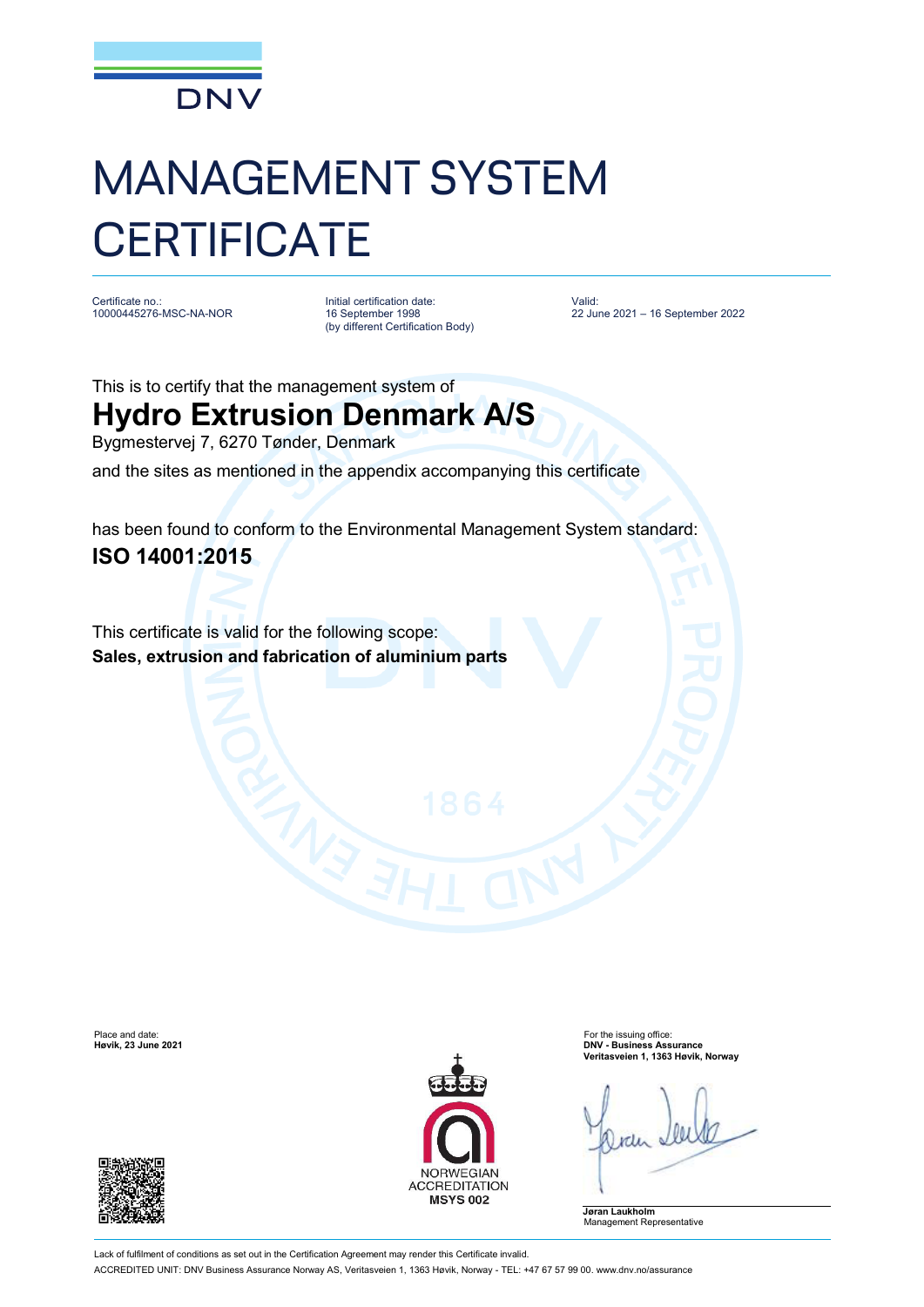

## MANAGEMENT SYSTEM **CERTIFICATE**

Certificate no.: 10000445276-MSC-NA-NOR

Initial certification date: 16 September 1998 (by different Certification Body) Valid: 22 June 2021 – 16 September 2022

This is to certify that the management system of

## **Hydro Extrusion Denmark A/S**

Bygmestervej 7, 6270 Tønder, Denmark

and the sites as mentioned in the appendix accompanying this certificate

has been found to conform to the Environmental Management System standard: **ISO 14001:2015**

This certificate is valid for the following scope: **Sales, extrusion and fabrication of aluminium parts**





Place and date: For the issuing office: **Høvik, 23 June 2021 DNV - Business Assurance Veritasveien 1, 1363 Høvik, Norway**

**Jøran Laukholm** Management Representative

Lack of fulfilment of conditions as set out in the Certification Agreement may render this Certificate invalid. ACCREDITED UNIT: DNV Business Assurance Norway AS, Veritasveien 1, 1363 Høvik, Norway - TEL: +47 67 57 99 00. [www.dnv.no/assurance](http://www.dnv.no/assurance)